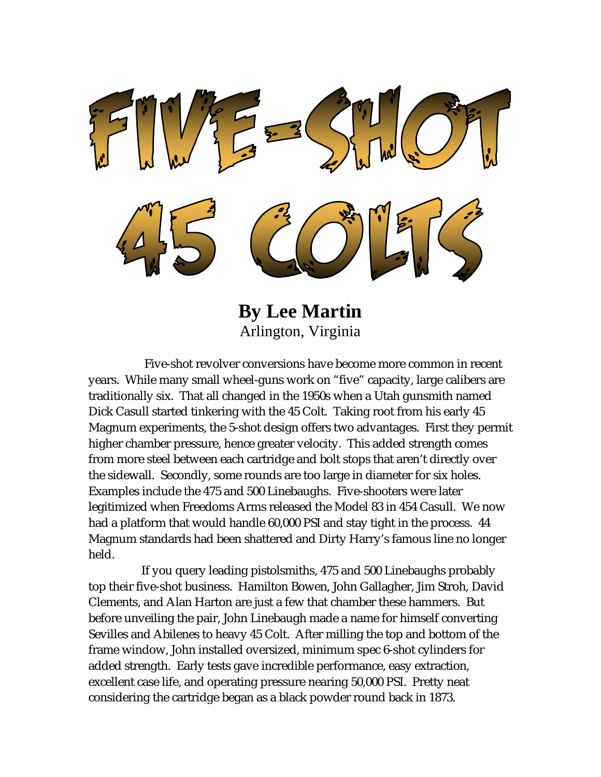

**By Lee Martin** Arlington, Virginia

 Five-shot revolver conversions have become more common in recent years. While many small wheel-guns work on "five" capacity, large calibers are traditionally six. That all changed in the 1950s when a Utah gunsmith named Dick Casull started tinkering with the 45 Colt. Taking root from his early 45 Magnum experiments, the 5-shot design offers two advantages. First they permit higher chamber pressure, hence greater velocity. This added strength comes from more steel between each cartridge and bolt stops that aren't directly over the sidewall. Secondly, some rounds are too large in diameter for six holes. Examples include the 475 and 500 Linebaughs. Five-shooters were later legitimized when Freedoms Arms released the Model 83 in 454 Casull. We now had a platform that would handle 60,000 PSI and stay tight in the process. 44 Magnum standards had been shattered and Dirty Harry's famous line no longer held.

 If you query leading pistolsmiths, 475 and 500 Linebaughs probably top their five-shot business. Hamilton Bowen, John Gallagher, Jim Stroh, David Clements, and Alan Harton are just a few that chamber these hammers. But before unveiling the pair, John Linebaugh made a name for himself converting Sevilles and Abilenes to heavy 45 Colt. After milling the top and bottom of the frame window, John installed oversized, minimum spec 6-shot cylinders for added strength. Early tests gave incredible performance, easy extraction, excellent case life, and operating pressure nearing 50,000 PSI. Pretty neat considering the cartridge began as a black powder round back in 1873.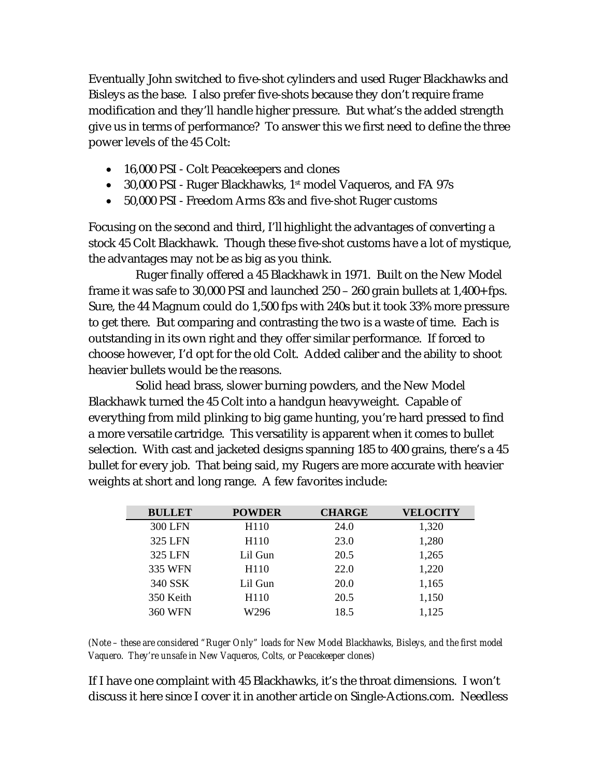Eventually John switched to five-shot cylinders and used Ruger Blackhawks and Bisleys as the base. I also prefer five-shots because they don't require frame modification and they'll handle higher pressure. But what's the added strength give us in terms of performance? To answer this we first need to define the three power levels of the 45 Colt:

- 16,000 PSI Colt Peacekeepers and clones
- 30,000 PSI Ruger Blackhawks, 1<sup>st</sup> model Vaqueros, and FA 97s
- 50,000 PSI Freedom Arms 83s and five-shot Ruger customs

Focusing on the second and third, I'll highlight the advantages of converting a stock 45 Colt Blackhawk. Though these five-shot customs have a lot of mystique, the advantages may not be as big as you think.

 Ruger finally offered a 45 Blackhawk in 1971. Built on the New Model frame it was safe to 30,000 PSI and launched 250 – 260 grain bullets at 1,400+ fps. Sure, the 44 Magnum could do 1,500 fps with 240s but it took 33% more pressure to get there. But comparing and contrasting the two is a waste of time. Each is outstanding in its own right and they offer similar performance. If forced to choose however, I'd opt for the old Colt. Added caliber and the ability to shoot heavier bullets would be the reasons.

 Solid head brass, slower burning powders, and the New Model Blackhawk turned the 45 Colt into a handgun heavyweight. Capable of everything from mild plinking to big game hunting, you're hard pressed to find a more versatile cartridge. This versatility is apparent when it comes to bullet selection. With cast and jacketed designs spanning 185 to 400 grains, there's a 45 bullet for every job. That being said, my Rugers are more accurate with heavier weights at short and long range. A few favorites include:

| <b>BULLET</b>  | <b>POWDER</b>    | <b>CHARGE</b> | <b>VELOCITY</b> |
|----------------|------------------|---------------|-----------------|
| <b>300 LFN</b> | H <sub>110</sub> | 24.0          | 1,320           |
| 325 LFN        | H <sub>110</sub> | 23.0          | 1,280           |
| 325 LFN        | Lil Gun          | 20.5          | 1,265           |
| 335 WFN        | H <sub>110</sub> | 22.0          | 1,220           |
| 340 SSK        | Lil Gun          | 20.0          | 1,165           |
| 350 Keith      | H <sub>110</sub> | 20.5          | 1,150           |
| <b>360 WFN</b> | W296             | 18.5          | 1,125           |

*(Note – these are considered "Ruger Only" loads for New Model Blackhawks, Bisleys, and the first model Vaquero. They're unsafe in New Vaqueros, Colts, or Peacekeeper clones)*

If I have one complaint with 45 Blackhawks, it's the throat dimensions. I won't discuss it here since I cover it in another article on Single-Actions.com. Needless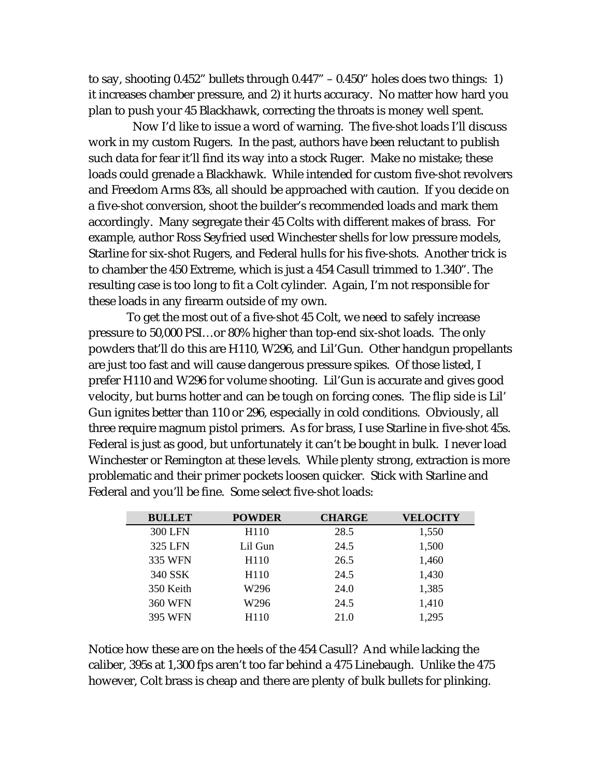to say, shooting 0.452" bullets through 0.447" – 0.450" holes does two things: 1) it increases chamber pressure, and 2) it hurts accuracy. No matter how hard you plan to push your 45 Blackhawk, correcting the throats is money well spent.

 Now I'd like to issue a word of warning. The five-shot loads I'll discuss work in my custom Rugers. In the past, authors have been reluctant to publish such data for fear it'll find its way into a stock Ruger. Make no mistake; these loads could grenade a Blackhawk. While intended for custom five-shot revolvers and Freedom Arms 83s, all should be approached with caution. If you decide on a five-shot conversion, shoot the builder's recommended loads and mark them accordingly. Many segregate their 45 Colts with different makes of brass. For example, author Ross Seyfried used Winchester shells for low pressure models, Starline for six-shot Rugers, and Federal hulls for his five-shots. Another trick is to chamber the 450 Extreme, which is just a 454 Casull trimmed to 1.340". The resulting case is too long to fit a Colt cylinder. Again, I'm not responsible for these loads in any firearm outside of my own.

 To get the most out of a five-shot 45 Colt, we need to safely increase pressure to 50,000 PSI…or 80% higher than top-end six-shot loads. The only powders that'll do this are H110, W296, and Lil'Gun. Other handgun propellants are just too fast and will cause dangerous pressure spikes. Of those listed, I prefer H110 and W296 for volume shooting. Lil'Gun is accurate and gives good velocity, but burns hotter and can be tough on forcing cones. The flip side is Lil' Gun ignites better than 110 or 296, especially in cold conditions. Obviously, all three require magnum pistol primers. As for brass, I use Starline in five-shot 45s. Federal is just as good, but unfortunately it can't be bought in bulk. I never load Winchester or Remington at these levels. While plenty strong, extraction is more problematic and their primer pockets loosen quicker. Stick with Starline and Federal and you'll be fine. Some select five-shot loads:

| <b>BULLET</b>  | <b>POWDER</b>    | <b>CHARGE</b> | <b>VELOCITY</b> |
|----------------|------------------|---------------|-----------------|
| 300 LFN        | H <sub>110</sub> | 28.5          | 1,550           |
| 325 LFN        | Lil Gun          | 24.5          | 1,500           |
| 335 WFN        | H <sub>110</sub> | 26.5          | 1,460           |
| 340 SSK        | H <sub>110</sub> | 24.5          | 1,430           |
| 350 Keith      | W296             | 24.0          | 1,385           |
| <b>360 WFN</b> | W296             | 24.5          | 1,410           |
| <b>395 WFN</b> | H <sub>110</sub> | 21.0          | 1,295           |

Notice how these are on the heels of the 454 Casull? And while lacking the caliber, 395s at 1,300 fps aren't too far behind a 475 Linebaugh. Unlike the 475 however, Colt brass is cheap and there are plenty of bulk bullets for plinking.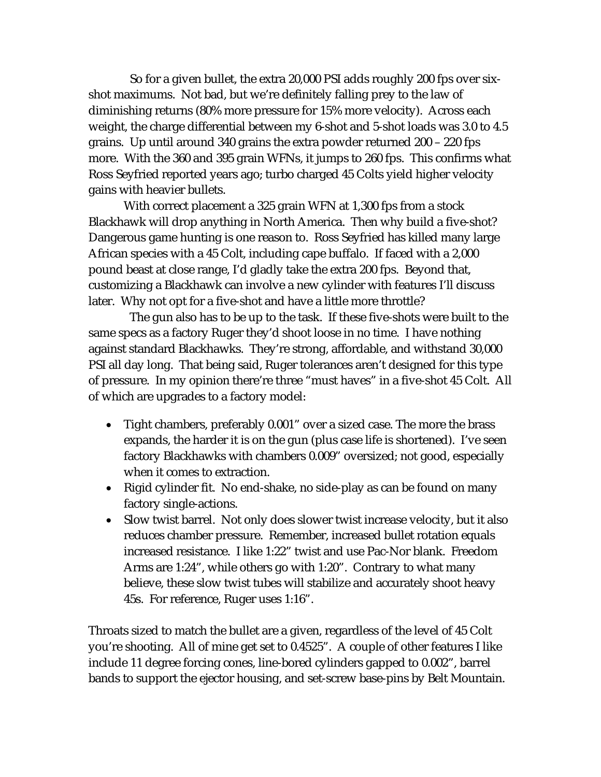So for a given bullet, the extra 20,000 PSI adds roughly 200 fps over sixshot maximums. Not bad, but we're definitely falling prey to the law of diminishing returns (80% more pressure for 15% more velocity). Across each weight, the charge differential between my 6-shot and 5-shot loads was 3.0 to 4.5 grains. Up until around 340 grains the extra powder returned 200 – 220 fps more. With the 360 and 395 grain WFNs, it jumps to 260 fps. This confirms what Ross Seyfried reported years ago; turbo charged 45 Colts yield higher velocity gains with heavier bullets.

With correct placement a 325 grain WFN at 1,300 fps from a stock Blackhawk will drop anything in North America. Then why build a five-shot? Dangerous game hunting is one reason to. Ross Seyfried has killed many large African species with a 45 Colt, including cape buffalo. If faced with a 2,000 pound beast at close range, I'd gladly take the extra 200 fps. Beyond that, customizing a Blackhawk can involve a new cylinder with features I'll discuss later. Why not opt for a five-shot and have a little more throttle?

 The gun also has to be up to the task. If these five-shots were built to the same specs as a factory Ruger they'd shoot loose in no time. I have nothing against standard Blackhawks. They're strong, affordable, and withstand 30,000 PSI all day long. That being said, Ruger tolerances aren't designed for this type of pressure. In my opinion there're three "must haves" in a five-shot 45 Colt. All of which are upgrades to a factory model:

- Tight chambers, preferably 0.001" over a sized case. The more the brass expands, the harder it is on the gun (plus case life is shortened). I've seen factory Blackhawks with chambers 0.009" oversized; not good, especially when it comes to extraction.
- Rigid cylinder fit. No end-shake, no side-play as can be found on many factory single-actions.
- Slow twist barrel. Not only does slower twist increase velocity, but it also reduces chamber pressure. Remember, increased bullet rotation equals increased resistance. I like 1:22" twist and use Pac-Nor blank. Freedom Arms are 1:24", while others go with 1:20". Contrary to what many believe, these slow twist tubes will stabilize and accurately shoot heavy 45s. For reference, Ruger uses 1:16".

Throats sized to match the bullet are a given, regardless of the level of 45 Colt you're shooting. All of mine get set to 0.4525". A couple of other features I like include 11 degree forcing cones, line-bored cylinders gapped to 0.002", barrel bands to support the ejector housing, and set-screw base-pins by Belt Mountain.